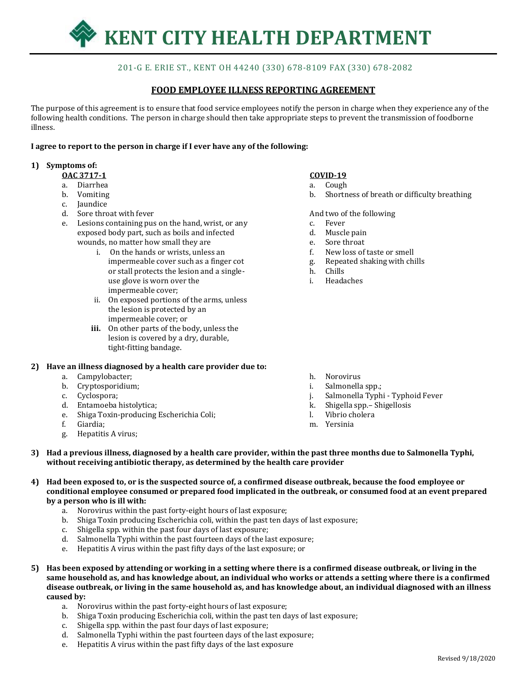

# 201-G E. ERIE ST., KENT OH 44240 (330) 678-8109 FAX (330) 678-2082

## **FOOD EMPLOYEE ILLNESS REPORTING AGREEMENT**

The purpose of this agreement is to ensure that food service employees notify the person in charge when they experience any of the following health conditions. The person in charge should then take appropriate steps to prevent the transmission of foodborne illness.

#### **I agree to report to the person in charge if I ever have any of the following:**

#### **1) Symptoms of:**

- **OAC 3717-1**
- a. Diarrhea
- b. Vomiting
- c. Jaundice
- d. Sore throat with fever
- e. Lesions containing pus on the hand, wrist, or any exposed body part, such as boils and infected wounds, no matter how small they are
	- i. On the hands or wrists, unless an impermeable cover such as a finger cot or stall protects the lesion and a singleuse glove is worn over the impermeable cover;
	- ii. On exposed portions of the arms, unless the lesion is protected by an impermeable cover; or
	- **iii.** On other parts of the body, unless the lesion is covered by a dry, durable, tight-fitting bandage.

### **2) Have an illness diagnosed by a health care provider due to:**

- a. Campylobacter;
- b. Cryptosporidium;
- c. Cyclospora;
- d. Entamoeba histolytica;
- e. Shiga Toxin-producing Escherichia Coli;
- f. Giardia;
- g. Hepatitis A virus;

### **COVID-19**

- a. Cough
- b. Shortness of breath or difficulty breathing

And two of the following

- c. Fever
- d. Muscle pain
- e. Sore throat
- f. New loss of taste or smell
- g. Repeated shaking with chills
- h. Chills
- i. Headaches

- h. Norovirus
- i. Salmonella spp.;
- j. Salmonella Typhi Typhoid Fever
- k. Shigella spp.– Shigellosis
- l. Vibrio cholera
- m. Yersinia
- **3) Had a previous illness, diagnosed by a health care provider, within the past three months due to Salmonella Typhi, without receiving antibiotic therapy, as determined by the health care provider**
- **4) Had been exposed to, or is the suspected source of, a confirmed disease outbreak, because the food employee or conditional employee consumed or prepared food implicated in the outbreak, or consumed food at an event prepared by a person who is ill with:**
	- a. Norovirus within the past forty-eight hours of last exposure;
	- b. Shiga Toxin producing Escherichia coli, within the past ten days of last exposure;
	- c. Shigella spp. within the past four days of last exposure;
	- d. Salmonella Typhi within the past fourteen days of the last exposure;
	- e. Hepatitis A virus within the past fifty days of the last exposure; or
- **5) Has been exposed by attending or working in a setting where there is a confirmed disease outbreak, or living in the same household as, and has knowledge about, an individual who works or attends a setting where there is a confirmed disease outbreak, or living in the same household as, and has knowledge about, an individual diagnosed with an illness caused by:**
	- a. Norovirus within the past forty-eight hours of last exposure;
	- b. Shiga Toxin producing Escherichia coli, within the past ten days of last exposure;
	- c. Shigella spp. within the past four days of last exposure;
	- d. Salmonella Typhi within the past fourteen days of the last exposure;
	- e. Hepatitis A virus within the past fifty days of the last exposure